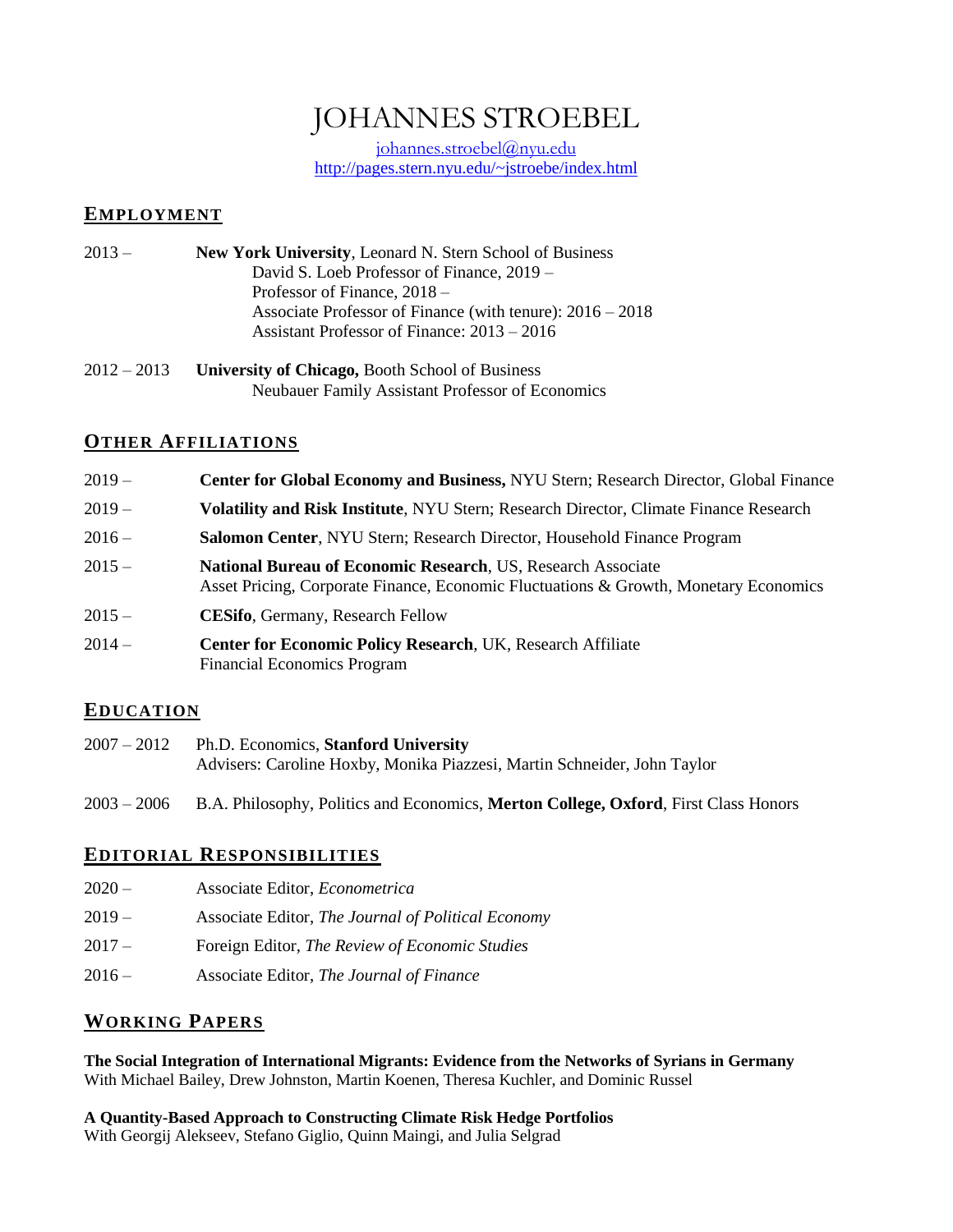# JOHANNES STROEBEL

[johannes.stroebel@n](mailto:johannes.stroebel@)yu.edu <http://pages.stern.nyu.edu/~jstroebe/index.html>

### **EMPLOYMENT**

- 2013 **New York University**, Leonard N. Stern School of Business David S. Loeb Professor of Finance, 2019 – Professor of Finance, 2018 – Associate Professor of Finance (with tenure): 2016 – 2018 Assistant Professor of Finance: 2013 – 2016
- 2012 2013 **University of Chicago,** Booth School of Business Neubauer Family Assistant Professor of Economics

# **OTHER AFFILIATIONS**

| $2019-$  | <b>Center for Global Economy and Business, NYU Stern; Research Director, Global Finance</b>                                                          |  |
|----------|------------------------------------------------------------------------------------------------------------------------------------------------------|--|
| $2019-$  | <b>Volatility and Risk Institute, NYU Stern; Research Director, Climate Finance Research</b>                                                         |  |
| $2016-$  | <b>Salomon Center, NYU Stern; Research Director, Household Finance Program</b>                                                                       |  |
| $2015 -$ | National Bureau of Economic Research, US, Research Associate<br>Asset Pricing, Corporate Finance, Economic Fluctuations & Growth, Monetary Economics |  |
| $2015 -$ | <b>CESifo, Germany, Research Fellow</b>                                                                                                              |  |
| $2014-$  | <b>Center for Economic Policy Research, UK, Research Affiliate</b><br><b>Financial Economics Program</b>                                             |  |

# **EDUCATION**

- 2007 2012 Ph.D. Economics, **Stanford University** Advisers: Caroline Hoxby, Monika Piazzesi, Martin Schneider, John Taylor
- 2003 2006 B.A. Philosophy, Politics and Economics, **Merton College, Oxford**, First Class Honors

# **EDITORIAL RESPONSIBILITIES**

- 2020 Associate Editor, *Econometrica*
- 2019 Associate Editor, *The Journal of Political Economy*
- 2017 Foreign Editor, *The Review of Economic Studies*
- 2016 Associate Editor, *The Journal of Finance*

# **WORKING PAPERS**

**[The Social Integration of International Migrants: Evidence from the Networks of Syrians in Germany](http://pages.stern.nyu.edu/~jstroebe/PDF/BJKKRS_SyrianMigrantsGermany.pdf)** With Michael Bailey, Drew Johnston, Martin Koenen, Theresa Kuchler, and Dominic Russel

**[A Quantity-Based Approach to Constructing Climate Risk Hedge Portfolios](http://pages.stern.nyu.edu/~jstroebe/PDF/AGMSS_QuantityClimateHedge.pdf)** With Georgij Alekseev, Stefano Giglio, Quinn Maingi, and Julia Selgrad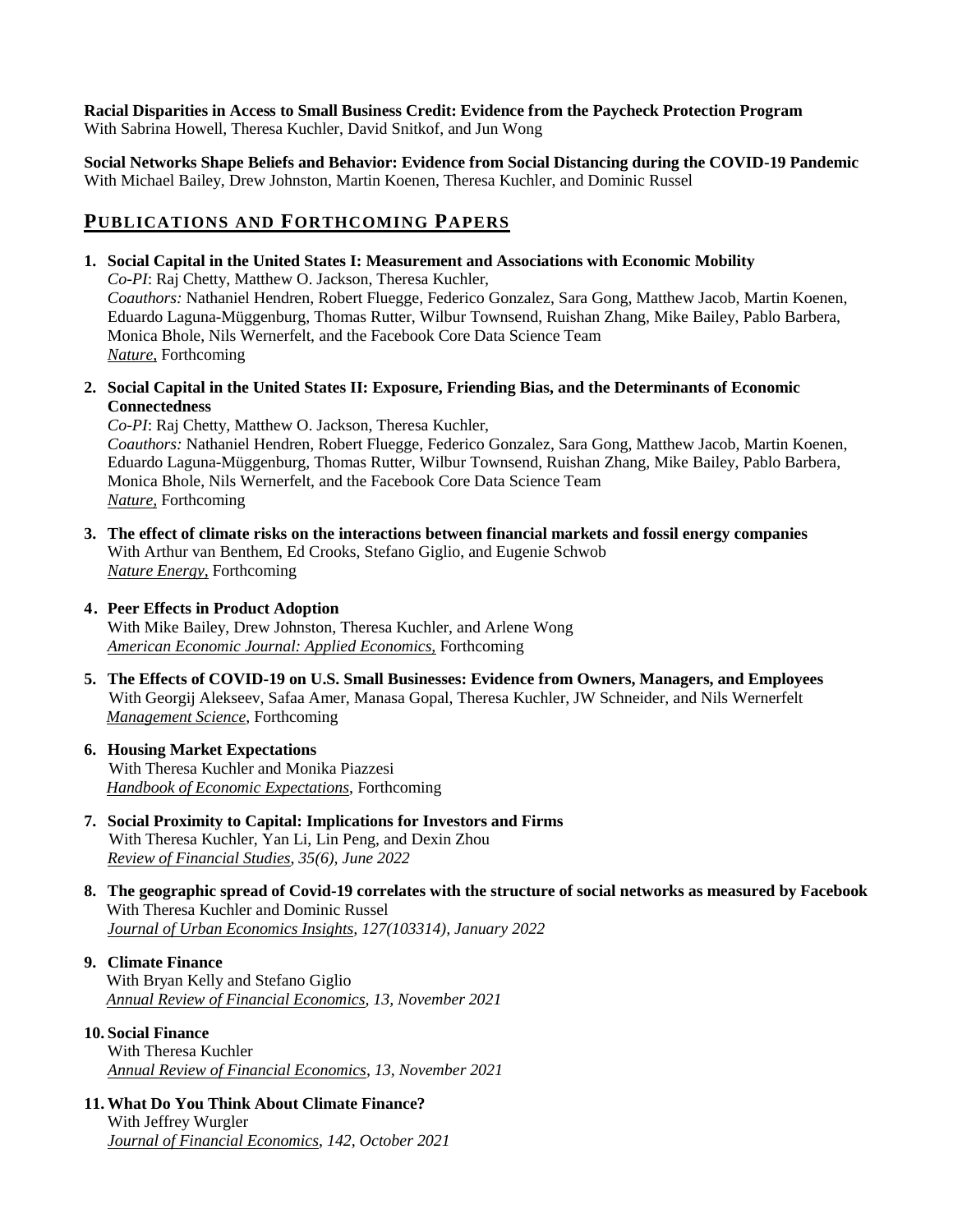#### **[Racial Disparities in Access to Small Business Credit: Evidence from the Paycheck Protection Program](http://pages.stern.nyu.edu/~jstroebe/PDF/HKSSW_PPP_Minorities.pdf)** With Sabrina Howell, Theresa Kuchler, David Snitkof, and Jun Wong

**[Social Networks Shape Beliefs and Behavior: Evidence from Social Distancing during the COVID-19 Pandemic](http://pages.stern.nyu.edu/~jstroebe/PDF/BJKKRS_FB_Covid_Distancing.pdf)** With Michael Bailey, Drew Johnston, Martin Koenen, Theresa Kuchler, and Dominic Russel

# **PUBLICATIONS AND FORTHCOMING PAPERS**

**1. Social Capital in the United States I: Measurement and Associations with Economic Mobility**

*Co-PI*: Raj Chetty, Matthew O. Jackson, Theresa Kuchler,

*Coauthors:* Nathaniel Hendren, Robert Fluegge, Federico Gonzalez, Sara Gong, Matthew Jacob, Martin Koenen, Eduardo Laguna-Müggenburg, Thomas Rutter, Wilbur Townsend, Ruishan Zhang, Mike Bailey, Pablo Barbera, Monica Bhole, Nils Wernerfelt, and the Facebook Core Data Science Team *Nature,* Forthcoming

**2. Social Capital in the United States II: Exposure, Friending Bias, and the Determinants of Economic Connectedness**

*Co-PI*: Raj Chetty, Matthew O. Jackson, Theresa Kuchler, *Coauthors:* Nathaniel Hendren, Robert Fluegge, Federico Gonzalez, Sara Gong, Matthew Jacob, Martin Koenen,

Eduardo Laguna-Müggenburg, Thomas Rutter, Wilbur Townsend, Ruishan Zhang, Mike Bailey, Pablo Barbera, Monica Bhole, Nils Wernerfelt, and the Facebook Core Data Science Team *Nature,* Forthcoming

**3. The effect of climate risks on the interactions between financial markets and fossil energy companies**  With Arthur van Benthem, Ed Crooks, Stefano Giglio, and Eugenie Schwob *Nature Energy,* Forthcoming

### **4. Peer Effects in Product Adoption**

With Mike Bailey, Drew Johnston, Theresa Kuchler, and Arlene Wong *American Economic Journal: Applied Economics,* Forthcoming

**5. The Effects of COVID-19 on U.S. Small Businesses: Evidence from Owners, Managers, and Employees** With Georgij Alekseev, Safaa Amer, Manasa Gopal, Theresa Kuchler, JW Schneider, and Nils Wernerfelt *Management Science*, Forthcoming

#### **6. Housing Market Expectations** With Theresa Kuchler and Monika Piazzesi *Handbook of Economic Expectations*, Forthcoming

- **7. Social Proximity to Capital: Implications for Investors and Firms** With Theresa Kuchler, Yan Li, Lin Peng, and Dexin Zhou *Review of Financial Studies*, *35(6), June 2022*
- **8. [The geographic spread of Covid-19 correlates with the structure of social networks as measured by Facebook](http://pages.stern.nyu.edu/~jstroebe/PDF/SCI_and_COVID.pdf)** With Theresa Kuchler and Dominic Russel *Journal of Urban Economics Insights, 127(103314), January 2022*

#### **9. Climate Finance** With Bryan Kelly and Stefano Giglio *Annual Review of Financial Economics, 13, November 2021*

#### **10. Social Finance**

With Theresa Kuchler *Annual Review of Financial Economics*, *13, November 2021*

**11. What Do You Think About Climate Finance?** With Jeffrey Wurgler *Journal of Financial Economics*, *142, October 2021*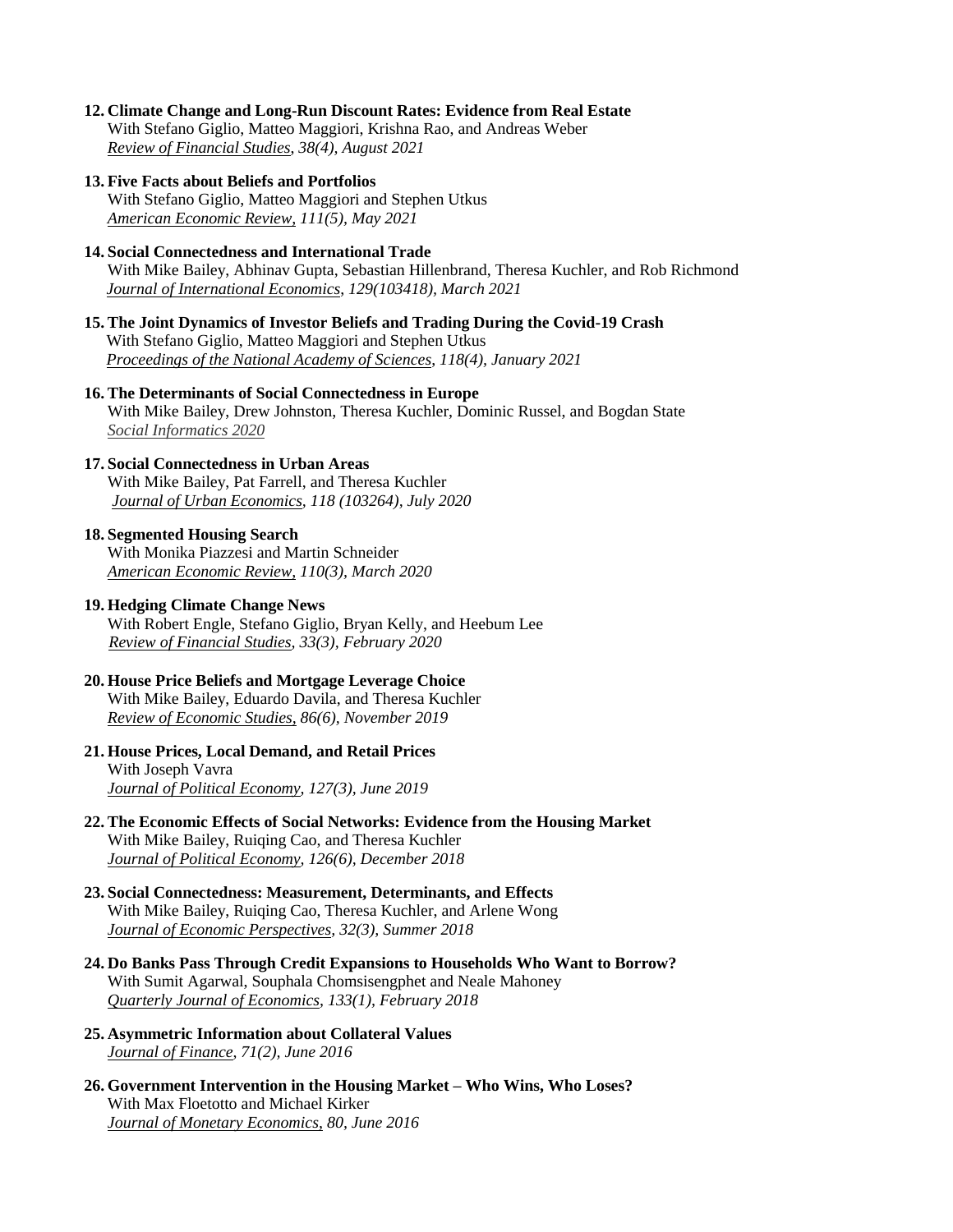**12. [Climate Change and Long-Run Discount Rates: Evidence from Real Estate](http://papers.ssrn.com/sol3/papers.cfm?abstract_id=2639748)** With Stefano Giglio, Matteo Maggiori, Krishna Rao, and Andreas Weber *Review of Financial Studies*, *38(4), August 2021*

#### **13. Five Facts about Beliefs and Portfolios**

With Stefano Giglio, Matteo Maggiori and Stephen Utkus *American Economic Review, 111(5), May 2021*

#### **14. Social Connectedness and International Trade**

With Mike Bailey, Abhinav Gupta, Sebastian Hillenbrand, Theresa Kuchler, and Rob Richmond *Journal of International Economics*, *129(103418), March 2021*

- **15. The Joint Dynamics of Investor Beliefs and Trading During the Covid-19 Crash** With Stefano Giglio, Matteo Maggiori and Stephen Utkus *Proceedings of the National Academy of Sciences*, *118(4), January 2021*
- **16. The Determinants of Social Connectedness in Europe** With Mike Bailey, Drew Johnston, Theresa Kuchler, Dominic Russel, and Bogdan State *Social Informatics 2020*

#### **17. Social Connectedness in Urban Areas**

With Mike Bailey, Pat Farrell, and Theresa Kuchler *Journal of Urban Economics, 118 (103264), July 2020*

#### **18. Segmented Housing Search**

With Monika Piazzesi and Martin Schneider *American Economic Review, 110(3), March 2020*

#### **19. Hedging Climate Change News**

With Robert Engle, Stefano Giglio, Bryan Kelly, and Heebum Lee *Review of Financial Studies, 33(3), February 2020* 

#### **20. House Price Beliefs and Mortgage Leverage Choice**

With Mike Bailey, Eduardo Davila, and Theresa Kuchler *Review of Economic Studies, 86(6), November 2019*

#### **21. [House Prices, Local Demand, and](http://pages.stern.nyu.edu/~jstroebe/PDF/SV_RetailPrices.pdf) Retail Prices** With Joseph Vavra *Journal of Political Economy, 127(3), June 2019*

**22. [The Economic Effects of Social Networks: Evidence from the Housing Market](http://pages.stern.nyu.edu/~jstroebe/PDF/BCKS_Networks.pdf)** With Mike Bailey, Ruiqing Cao, and Theresa Kuchler *Journal of Political Economy, 126(6), December 2018*

#### **23. [Social Connectedness: Measurement, Determinants, and Effects](http://pages.stern.nyu.edu/~jstroebe/PDF/JEP_SCI.pdf)** With Mike Bailey, Ruiqing Cao, Theresa Kuchler, and Arlene Wong *Journal of Economic Perspectives, 32(3), Summer 2018*

- **24. [Do Banks Pass Through Credit Expansions to Households Who Want to Borrow?](http://pages.stern.nyu.edu/~jstroebe/PDF/ACMS_Passthrough.pdf)** With Sumit Agarwal, Souphala Chomsisengphet and Neale Mahoney *Quarterly Journal of Economics, 133(1), February 2018*
- **25. [Asymmetric Information about Collateral Values](http://pages.stern.nyu.edu/~jstroebe/PDF/JF_Stroebel.pdf)** *Journal of Finance*, *71(2), June 2016*
- **26. [Government Intervention in the Housing Market –](http://pages.stern.nyu.edu/~jstroebe/PDF/JME_FKS.pdf) Who Wins, Who Loses?** With Max Floetotto and Michael Kirker *Journal of Monetary Economics, 80, June 2016*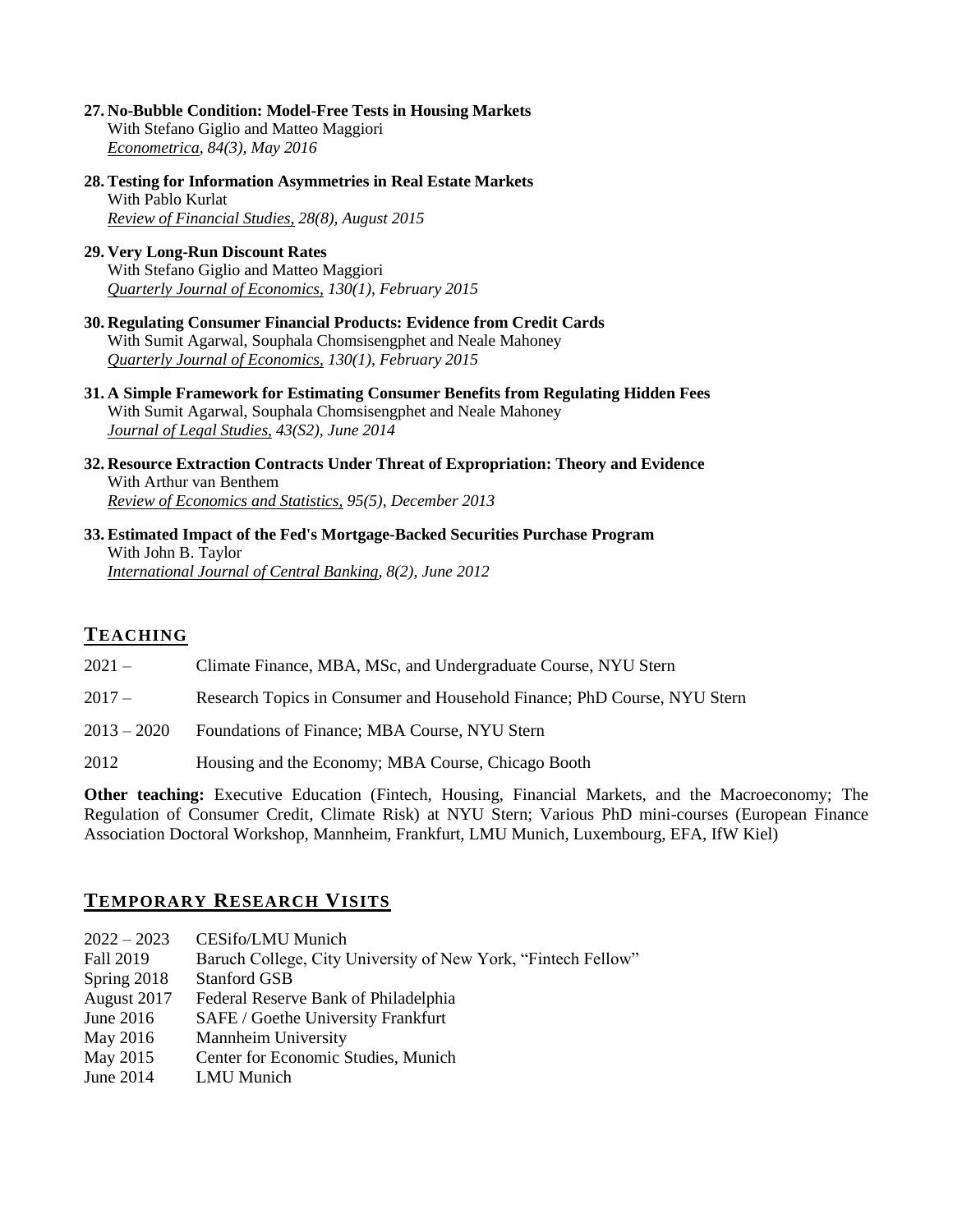- **27. [No-Bubble Condition: Model-Free Tests in Housing Markets](http://pages.stern.nyu.edu/~jstroebe/PDF/GMS_Bubble.pdf)** With Stefano Giglio and Matteo Maggiori *Econometrica, 84(3), May 2016*
- **28. [Testing for Information Asymmetries in Real Estate Markets](http://pages.stern.nyu.edu/~jstroebe/PDF/RFS_Kurlat_Stroebel.pdf)** With Pablo Kurlat *Review of Financial Studies, 28(8), August 2015*
- **29. [Very Long-Run Discount Rates](http://pages.stern.nyu.edu/~jstroebe/PDF/QJE_GMS.pdf)**  With Stefano Giglio and Matteo Maggiori *Quarterly Journal of Economics, 130(1), February 2015*
- **30. [Regulating Consumer Financial Products: Evidence from Credit Cards](http://pages.stern.nyu.edu/~jstroebe/PDF/QJE_ACMS.pdf)** With Sumit Agarwal, Souphala Chomsisengphet and Neale Mahoney *Quarterly Journal of Economics, 130(1), February 2015*
- **31. [A Simple Framework for Estimating Consumer Benefits from Regulating Hidden Fees](http://pages.stern.nyu.edu/~jstroebe/PDF/JLS_ACMS.pdf)**  With Sumit Agarwal, Souphala Chomsisengphet and Neale Mahoney *Journal of Legal Studies, 43(S2), June 2014*
- **32. [Resource Extraction Contracts Under Threat of Expropriation: Theory and Evidence](http://pages.stern.nyu.edu/~jstroebe/PDF/RESTAT_Stroebel_VanBenthem.pdf)**  With Arthur van Benthem *Review of Economics and Statistics, 95(5), December 2013*
- **33. [Estimated Impact of the Fed's Mortgage-Backed Securities Purchase Program](http://www.ijcb.org/journal/ijcb12q2a1.pdf)** With John B. Taylor *International Journal of Central Banking, 8(2), June 2012*

### **TEACHING**

- 2021 Climate Finance, MBA, MSc, and Undergraduate Course, NYU Stern
- 2017 Research Topics in Consumer and Household Finance; PhD Course, NYU Stern
- 2013 2020 Foundations of Finance; MBA Course, NYU Stern
- 2012 Housing and the Economy; MBA Course, Chicago Booth

**Other teaching:** Executive Education (Fintech, Housing, Financial Markets, and the Macroeconomy; The Regulation of Consumer Credit, Climate Risk) at NYU Stern; Various PhD mini-courses (European Finance Association Doctoral Workshop, Mannheim, Frankfurt, LMU Munich, Luxembourg, EFA, IfW Kiel)

### **TEMPORARY RESEARCH VISITS**

| $2022 - 2023$ | CESifo/LMU Munich                                             |
|---------------|---------------------------------------------------------------|
| Fall 2019     | Baruch College, City University of New York, "Fintech Fellow" |
| Spring 2018   | <b>Stanford GSB</b>                                           |
| August 2017   | Federal Reserve Bank of Philadelphia                          |
| June $2016$   | SAFE / Goethe University Frankfurt                            |
| May 2016      | <b>Mannheim University</b>                                    |
| May 2015      | Center for Economic Studies, Munich                           |
| June 2014     | LMU Munich                                                    |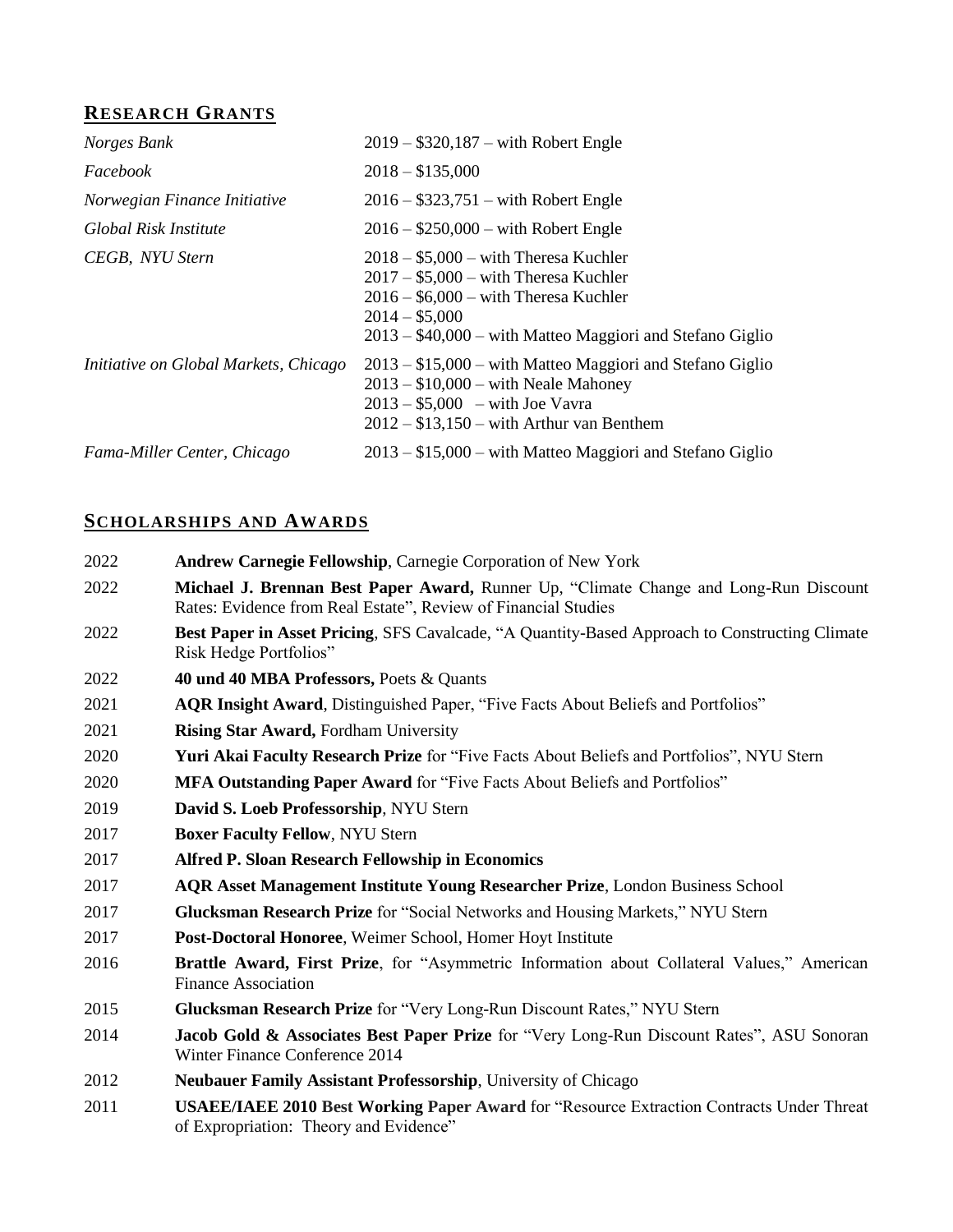# **RESEARCH GRANTS**

| Norges Bank                           | $2019 - $320,187 - with Robert Engle$                                                                                                                                                                       |
|---------------------------------------|-------------------------------------------------------------------------------------------------------------------------------------------------------------------------------------------------------------|
| Facebook                              | $2018 - $135,000$                                                                                                                                                                                           |
| Norwegian Finance Initiative          | $2016 - $323,751 - with Robert Engle$                                                                                                                                                                       |
| Global Risk Institute                 | $2016 - $250,000 - with Robert Engle$                                                                                                                                                                       |
| CEGB, NYU Stern                       | $2018 - $5,000 - with Theresa Kuchler$<br>$2017 - $5,000 - with Theresa Kuchler$<br>$2016 - $6,000 - with Theresa Kuchler$<br>$2014 - $5,000$<br>$2013 - $40,000 -$ with Matteo Maggiori and Stefano Giglio |
| Initiative on Global Markets, Chicago | $2013 - $15,000$ – with Matteo Maggiori and Stefano Giglio<br>$2013 - $10,000 - with Neale Mahoney$<br>$2013 - $5,000$ – with Joe Vavra<br>$2012 - $13,150$ – with Arthur van Benthem                       |
| Fama-Miller Center, Chicago           | $2013 - $15,000$ – with Matteo Maggiori and Stefano Giglio                                                                                                                                                  |

# **SCHOLARSHIPS AND AWARDS**

| 2022 | <b>Andrew Carnegie Fellowship, Carnegie Corporation of New York</b>                                                                                     |
|------|---------------------------------------------------------------------------------------------------------------------------------------------------------|
| 2022 | Michael J. Brennan Best Paper Award, Runner Up, "Climate Change and Long-Run Discount<br>Rates: Evidence from Real Estate", Review of Financial Studies |
| 2022 | Best Paper in Asset Pricing, SFS Cavalcade, "A Quantity-Based Approach to Constructing Climate<br>Risk Hedge Portfolios"                                |
| 2022 | 40 und 40 MBA Professors, Poets & Quants                                                                                                                |
| 2021 | AQR Insight Award, Distinguished Paper, "Five Facts About Beliefs and Portfolios"                                                                       |
| 2021 | <b>Rising Star Award, Fordham University</b>                                                                                                            |
| 2020 | Yuri Akai Faculty Research Prize for "Five Facts About Beliefs and Portfolios", NYU Stern                                                               |
| 2020 | <b>MFA Outstanding Paper Award</b> for "Five Facts About Beliefs and Portfolios"                                                                        |
| 2019 | David S. Loeb Professorship, NYU Stern                                                                                                                  |
| 2017 | <b>Boxer Faculty Fellow, NYU Stern</b>                                                                                                                  |
| 2017 | <b>Alfred P. Sloan Research Fellowship in Economics</b>                                                                                                 |
| 2017 | <b>AQR Asset Management Institute Young Researcher Prize, London Business School</b>                                                                    |
| 2017 | Glucksman Research Prize for "Social Networks and Housing Markets," NYU Stern                                                                           |
| 2017 | Post-Doctoral Honoree, Weimer School, Homer Hoyt Institute                                                                                              |
| 2016 | Brattle Award, First Prize, for "Asymmetric Information about Collateral Values," American<br><b>Finance Association</b>                                |
| 2015 | Glucksman Research Prize for "Very Long-Run Discount Rates," NYU Stern                                                                                  |
| 2014 | Jacob Gold & Associates Best Paper Prize for "Very Long-Run Discount Rates", ASU Sonoran<br>Winter Finance Conference 2014                              |
| 2012 | Neubauer Family Assistant Professorship, University of Chicago                                                                                          |
| 2011 | USAEE/IAEE 2010 Best Working Paper Award for "Resource Extraction Contracts Under Threat<br>of Expropriation: Theory and Evidence"                      |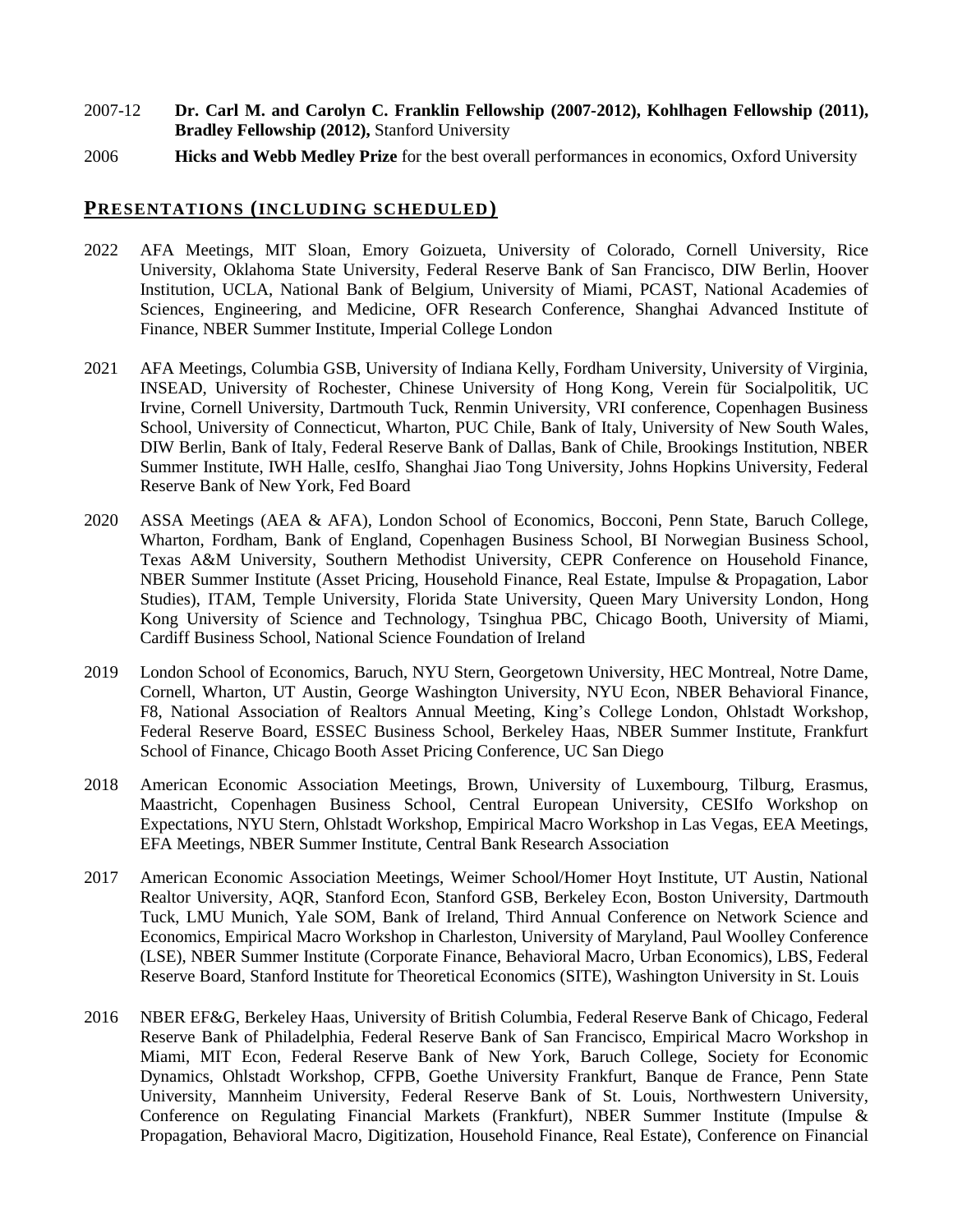- 2007-12 **Dr. Carl M. and Carolyn C. Franklin Fellowship (2007-2012), Kohlhagen Fellowship (2011), Bradley Fellowship (2012),** Stanford University
- 2006 **Hicks and Webb Medley Prize** for the best overall performances in economics, Oxford University

### **PRESENTATIONS (INCLUDING SCHEDULED)**

- 2022 AFA Meetings, MIT Sloan, Emory Goizueta, University of Colorado, Cornell University, Rice University, Oklahoma State University, Federal Reserve Bank of San Francisco, DIW Berlin, Hoover Institution, UCLA, National Bank of Belgium, University of Miami, PCAST, National Academies of Sciences, Engineering, and Medicine, OFR Research Conference, Shanghai Advanced Institute of Finance, NBER Summer Institute, Imperial College London
- 2021 AFA Meetings, Columbia GSB, University of Indiana Kelly, Fordham University, University of Virginia, INSEAD, University of Rochester, Chinese University of Hong Kong, Verein für Socialpolitik, UC Irvine, Cornell University, Dartmouth Tuck, Renmin University, VRI conference, Copenhagen Business School, University of Connecticut, Wharton, PUC Chile, Bank of Italy, University of New South Wales, DIW Berlin, Bank of Italy, Federal Reserve Bank of Dallas, Bank of Chile, Brookings Institution, NBER Summer Institute, IWH Halle, cesIfo, Shanghai Jiao Tong University, Johns Hopkins University, Federal Reserve Bank of New York, Fed Board
- 2020 ASSA Meetings (AEA & AFA), London School of Economics, Bocconi, Penn State, Baruch College, Wharton, Fordham, Bank of England, Copenhagen Business School, BI Norwegian Business School, Texas A&M University, Southern Methodist University, CEPR Conference on Household Finance, NBER Summer Institute (Asset Pricing, Household Finance, Real Estate, Impulse & Propagation, Labor Studies), ITAM, Temple University, Florida State University, Queen Mary University London, Hong Kong University of Science and Technology, Tsinghua PBC, Chicago Booth, University of Miami, Cardiff Business School, National Science Foundation of Ireland
- 2019 London School of Economics, Baruch, NYU Stern, Georgetown University, HEC Montreal, Notre Dame, Cornell, Wharton, UT Austin, George Washington University, NYU Econ, NBER Behavioral Finance, F8, National Association of Realtors Annual Meeting, King's College London, Ohlstadt Workshop, Federal Reserve Board, ESSEC Business School, Berkeley Haas, NBER Summer Institute, Frankfurt School of Finance, Chicago Booth Asset Pricing Conference, UC San Diego
- 2018 American Economic Association Meetings, Brown, University of Luxembourg, Tilburg, Erasmus, Maastricht, Copenhagen Business School, Central European University, CESIfo Workshop on Expectations, NYU Stern, Ohlstadt Workshop, Empirical Macro Workshop in Las Vegas, EEA Meetings, EFA Meetings, NBER Summer Institute, Central Bank Research Association
- 2017 American Economic Association Meetings, Weimer School/Homer Hoyt Institute, UT Austin, National Realtor University, AQR, Stanford Econ, Stanford GSB, Berkeley Econ, Boston University, Dartmouth Tuck, LMU Munich, Yale SOM, Bank of Ireland, Third Annual Conference on Network Science and Economics, Empirical Macro Workshop in Charleston, University of Maryland, Paul Woolley Conference (LSE), NBER Summer Institute (Corporate Finance, Behavioral Macro, Urban Economics), LBS, Federal Reserve Board, Stanford Institute for Theoretical Economics (SITE), Washington University in St. Louis
- 2016 NBER EF&G, Berkeley Haas, University of British Columbia, Federal Reserve Bank of Chicago, Federal Reserve Bank of Philadelphia, Federal Reserve Bank of San Francisco, Empirical Macro Workshop in Miami, MIT Econ, Federal Reserve Bank of New York, Baruch College, Society for Economic Dynamics, Ohlstadt Workshop, CFPB, Goethe University Frankfurt, Banque de France, Penn State University, Mannheim University, Federal Reserve Bank of St. Louis, Northwestern University, Conference on Regulating Financial Markets (Frankfurt), NBER Summer Institute (Impulse & Propagation, Behavioral Macro, Digitization, Household Finance, Real Estate), Conference on Financial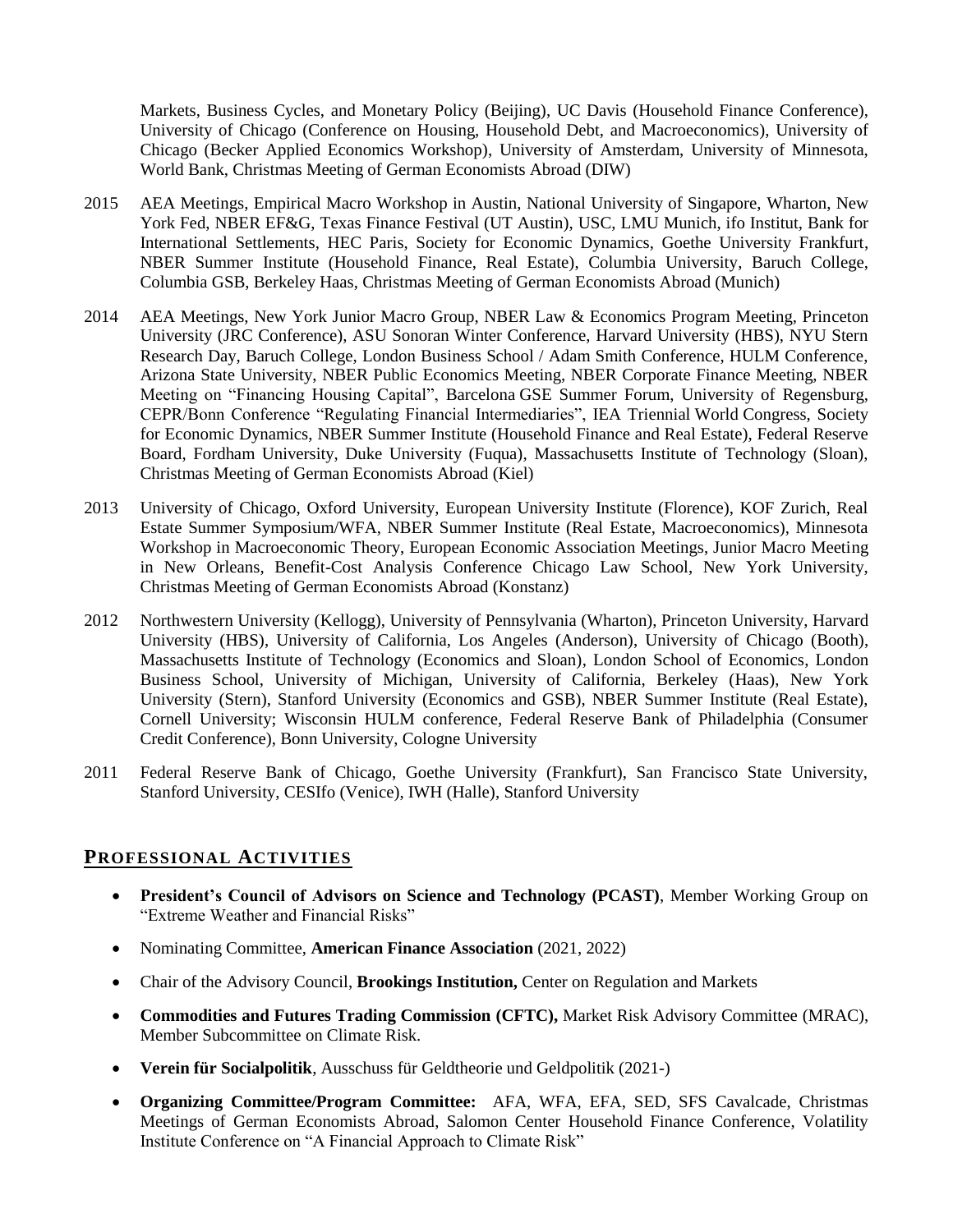Markets, Business Cycles, and Monetary Policy (Beijing), UC Davis (Household Finance Conference), University of Chicago (Conference on Housing, Household Debt, and Macroeconomics), University of Chicago (Becker Applied Economics Workshop), University of Amsterdam, University of Minnesota, World Bank, Christmas Meeting of German Economists Abroad (DIW)

- 2015 AEA Meetings, Empirical Macro Workshop in Austin, National University of Singapore, Wharton, New York Fed, NBER EF&G, Texas Finance Festival (UT Austin), USC, LMU Munich, ifo Institut, Bank for International Settlements, HEC Paris, Society for Economic Dynamics, Goethe University Frankfurt, NBER Summer Institute (Household Finance, Real Estate), Columbia University, Baruch College, Columbia GSB, Berkeley Haas, Christmas Meeting of German Economists Abroad (Munich)
- 2014 AEA Meetings, New York Junior Macro Group, NBER Law & Economics Program Meeting, Princeton University (JRC Conference), ASU Sonoran Winter Conference, Harvard University (HBS), NYU Stern Research Day, Baruch College, London Business School / Adam Smith Conference, HULM Conference, Arizona State University, NBER Public Economics Meeting, NBER Corporate Finance Meeting, NBER Meeting on "Financing Housing Capital", Barcelona GSE Summer Forum, University of Regensburg, CEPR/Bonn Conference "Regulating Financial Intermediaries", IEA Triennial World Congress, Society for Economic Dynamics, NBER Summer Institute (Household Finance and Real Estate), Federal Reserve Board, Fordham University, Duke University (Fuqua), Massachusetts Institute of Technology (Sloan), Christmas Meeting of German Economists Abroad (Kiel)
- 2013 University of Chicago, Oxford University, European University Institute (Florence), KOF Zurich, Real Estate Summer Symposium/WFA, NBER Summer Institute (Real Estate, Macroeconomics), Minnesota Workshop in Macroeconomic Theory, European Economic Association Meetings, Junior Macro Meeting in New Orleans, Benefit-Cost Analysis Conference Chicago Law School, New York University, Christmas Meeting of German Economists Abroad (Konstanz)
- 2012 Northwestern University (Kellogg), University of Pennsylvania (Wharton), Princeton University, Harvard University (HBS), University of California, Los Angeles (Anderson), University of Chicago (Booth), Massachusetts Institute of Technology (Economics and Sloan), London School of Economics, London Business School, University of Michigan, University of California, Berkeley (Haas), New York University (Stern), Stanford University (Economics and GSB), NBER Summer Institute (Real Estate), Cornell University; Wisconsin HULM conference, Federal Reserve Bank of Philadelphia (Consumer Credit Conference), Bonn University, Cologne University
- 2011 Federal Reserve Bank of Chicago, Goethe University (Frankfurt), San Francisco State University, Stanford University, CESIfo (Venice), IWH (Halle), Stanford University

### **PROFESSIONAL ACTIVITIES**

- **President's Council of Advisors on Science and Technology (PCAST)**, Member Working Group on "Extreme Weather and Financial Risks"
- Nominating Committee, **American Finance Association** (2021, 2022)
- Chair of the Advisory Council, **Brookings Institution,** Center on Regulation and Markets
- **Commodities and Futures Trading Commission (CFTC),** Market Risk Advisory Committee (MRAC), Member Subcommittee on Climate Risk.
- **Verein für Socialpolitik**, Ausschuss für Geldtheorie und Geldpolitik (2021-)
- **Organizing Committee/Program Committee:** AFA, WFA, EFA, SED, SFS Cavalcade, Christmas Meetings of German Economists Abroad, Salomon Center Household Finance Conference, Volatility Institute Conference on "A Financial Approach to Climate Risk"